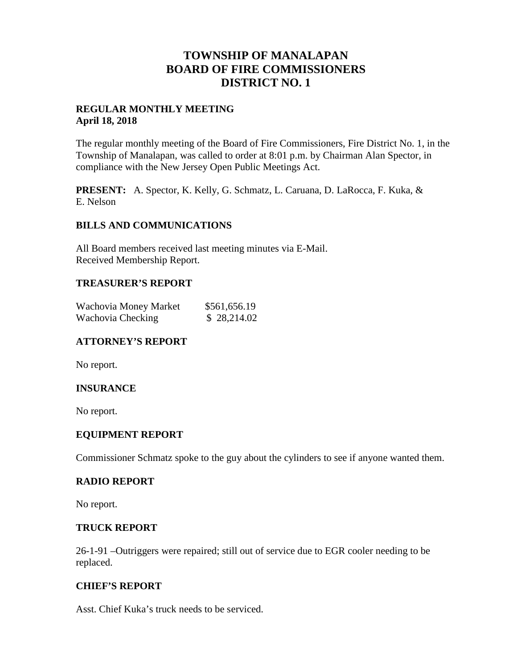## **TOWNSHIP OF MANALAPAN BOARD OF FIRE COMMISSIONERS DISTRICT NO. 1**

## **REGULAR MONTHLY MEETING April 18, 2018**

The regular monthly meeting of the Board of Fire Commissioners, Fire District No. 1, in the Township of Manalapan, was called to order at 8:01 p.m. by Chairman Alan Spector, in compliance with the New Jersey Open Public Meetings Act.

**PRESENT:** A. Spector, K. Kelly, G. Schmatz, L. Caruana, D. LaRocca, F. Kuka, & E. Nelson

## **BILLS AND COMMUNICATIONS**

All Board members received last meeting minutes via E-Mail. Received Membership Report.

### **TREASURER'S REPORT**

| Wachovia Money Market | \$561,656.19 |
|-----------------------|--------------|
| Wachovia Checking     | \$28,214.02  |

## **ATTORNEY'S REPORT**

No report.

## **INSURANCE**

No report.

## **EQUIPMENT REPORT**

Commissioner Schmatz spoke to the guy about the cylinders to see if anyone wanted them.

#### **RADIO REPORT**

No report.

#### **TRUCK REPORT**

26-1-91 –Outriggers were repaired; still out of service due to EGR cooler needing to be replaced.

## **CHIEF'S REPORT**

Asst. Chief Kuka's truck needs to be serviced.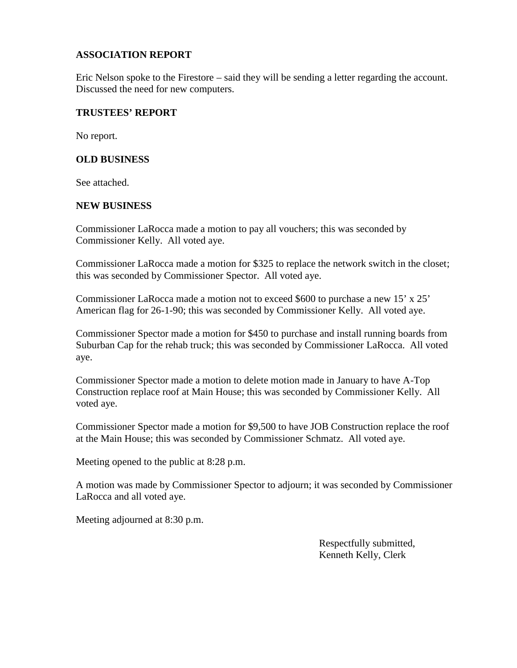## **ASSOCIATION REPORT**

Eric Nelson spoke to the Firestore – said they will be sending a letter regarding the account. Discussed the need for new computers.

## **TRUSTEES' REPORT**

No report.

## **OLD BUSINESS**

See attached.

## **NEW BUSINESS**

Commissioner LaRocca made a motion to pay all vouchers; this was seconded by Commissioner Kelly. All voted aye.

Commissioner LaRocca made a motion for \$325 to replace the network switch in the closet; this was seconded by Commissioner Spector. All voted aye.

Commissioner LaRocca made a motion not to exceed \$600 to purchase a new 15' x 25' American flag for 26-1-90; this was seconded by Commissioner Kelly. All voted aye.

Commissioner Spector made a motion for \$450 to purchase and install running boards from Suburban Cap for the rehab truck; this was seconded by Commissioner LaRocca. All voted aye.

Commissioner Spector made a motion to delete motion made in January to have A-Top Construction replace roof at Main House; this was seconded by Commissioner Kelly. All voted aye.

Commissioner Spector made a motion for \$9,500 to have JOB Construction replace the roof at the Main House; this was seconded by Commissioner Schmatz. All voted aye.

Meeting opened to the public at 8:28 p.m.

A motion was made by Commissioner Spector to adjourn; it was seconded by Commissioner LaRocca and all voted aye.

Meeting adjourned at 8:30 p.m.

Respectfully submitted, Kenneth Kelly, Clerk